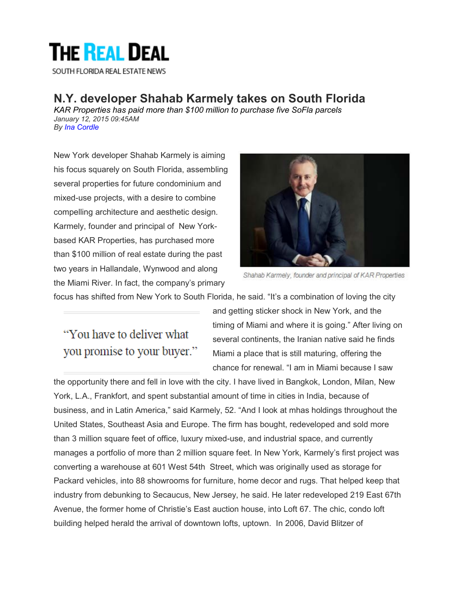## **THE REAL DEAL**

SOUTH FLORIDA REAL ESTATE NEWS

## **N.Y. developer Shahab Karmely takes on South Florida**

*KAR Properties has paid more than \$100 million to purchase five SoFla parcels January 12, 2015 09:45AM By Ina Cordle*

New York developer Shahab Karmely is aiming his focus squarely on South Florida, assembling several properties for future condominium and mixed-use projects, with a desire to combine compelling architecture and aesthetic design. Karmely, founder and principal of New Yorkbased KAR Properties, has purchased more than \$100 million of real estate during the past two years in Hallandale, Wynwood and along the Miami River. In fact, the company's primary



Shahab Karmely, founder and principal of KAR Properties

focus has shifted from New York to South Florida, he said. "It's a combination of loving the city

## "You have to deliver what you promise to your buyer."

and getting sticker shock in New York, and the timing of Miami and where it is going." After living on several continents, the Iranian native said he finds Miami a place that is still maturing, offering the chance for renewal. "I am in Miami because I saw

the opportunity there and fell in love with the city. I have lived in Bangkok, London, Milan, New York, L.A., Frankfort, and spent substantial amount of time in cities in India, because of business, and in Latin America," said Karmely, 52. "And I look at mhas holdings throughout the United States, Southeast Asia and Europe. The firm has bought, redeveloped and sold more than 3 million square feet of office, luxury mixed-use, and industrial space, and currently manages a portfolio of more than 2 million square feet. In New York, Karmely's first project was converting a warehouse at 601 West 54th Street, which was originally used as storage for Packard vehicles, into 88 showrooms for furniture, home decor and rugs. That helped keep that industry from debunking to Secaucus, New Jersey, he said. He later redeveloped 219 East 67th Avenue, the former home of Christie's East auction house, into Loft 67. The chic, condo loft building helped herald the arrival of downtown lofts, uptown. In 2006, David Blitzer of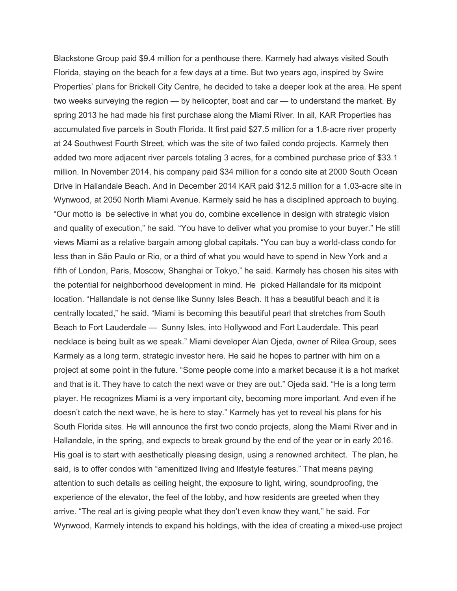Blackstone Group paid \$9.4 million for a penthouse there. Karmely had always visited South Florida, staying on the beach for a few days at a time. But two years ago, inspired by Swire Properties' plans for Brickell City Centre, he decided to take a deeper look at the area. He spent two weeks surveying the region — by helicopter, boat and car — to understand the market. By spring 2013 he had made his first purchase along the Miami River. In all, KAR Properties has accumulated five parcels in South Florida. It first paid \$27.5 million for a 1.8-acre river property at 24 Southwest Fourth Street, which was the site of two failed condo projects. Karmely then added two more adjacent river parcels totaling 3 acres, for a combined purchase price of \$33.1 million. In November 2014, his company paid \$34 million for a condo site at 2000 South Ocean Drive in Hallandale Beach. And in December 2014 KAR paid \$12.5 million for a 1.03-acre site in Wynwood, at 2050 North Miami Avenue. Karmely said he has a disciplined approach to buying. "Our motto is be selective in what you do, combine excellence in design with strategic vision and quality of execution," he said. "You have to deliver what you promise to your buyer." He still views Miami as a relative bargain among global capitals. "You can buy a world-class condo for less than in São Paulo or Rio, or a third of what you would have to spend in New York and a fifth of London, Paris, Moscow, Shanghai or Tokyo," he said. Karmely has chosen his sites with the potential for neighborhood development in mind. He picked Hallandale for its midpoint location. "Hallandale is not dense like Sunny Isles Beach. It has a beautiful beach and it is centrally located," he said. "Miami is becoming this beautiful pearl that stretches from South Beach to Fort Lauderdale — Sunny Isles, into Hollywood and Fort Lauderdale. This pearl necklace is being built as we speak." Miami developer Alan Ojeda, owner of Rilea Group, sees Karmely as a long term, strategic investor here. He said he hopes to partner with him on a project at some point in the future. "Some people come into a market because it is a hot market and that is it. They have to catch the next wave or they are out." Ojeda said. "He is a long term player. He recognizes Miami is a very important city, becoming more important. And even if he doesn't catch the next wave, he is here to stay." Karmely has yet to reveal his plans for his South Florida sites. He will announce the first two condo projects, along the Miami River and in Hallandale, in the spring, and expects to break ground by the end of the year or in early 2016. His goal is to start with aesthetically pleasing design, using a renowned architect. The plan, he said, is to offer condos with "amenitized living and lifestyle features." That means paying attention to such details as ceiling height, the exposure to light, wiring, soundproofing, the experience of the elevator, the feel of the lobby, and how residents are greeted when they arrive. "The real art is giving people what they don't even know they want," he said. For Wynwood, Karmely intends to expand his holdings, with the idea of creating a mixed-use project